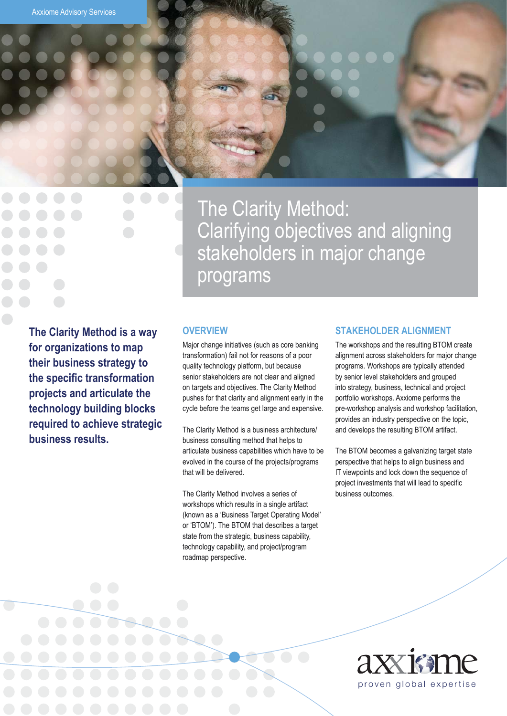The Clarity Method: Clarifying objectives and aligning stakeholders in major change programs

**The Clarity Method is a way for organizations to map their business strategy to the specific transformation projects and articulate the technology building blocks required to achieve strategic business results.**

#### **OVERVIEW**

Major change initiatives (such as core banking transformation) fail not for reasons of a poor quality technology platform, but because senior stakeholders are not clear and aligned on targets and objectives. The Clarity Method pushes for that clarity and alignment early in the cycle before the teams get large and expensive.

The Clarity Method is a business architecture/ business consulting method that helps to articulate business capabilities which have to be evolved in the course of the projects/programs that will be delivered.

The Clarity Method involves a series of workshops which results in a single artifact (known as a 'Business Target Operating Model' or 'BTOM'). The BTOM that describes a target state from the strategic, business capability, technology capability, and project/program roadmap perspective.

#### **STAKEHOLDER ALIGNMENT**

The workshops and the resulting BTOM create alignment across stakeholders for major change programs. Workshops are typically attended by senior level stakeholders and grouped into strategy, business, technical and project portfolio workshops. Axxiome performs the pre-workshop analysis and workshop facilitation, provides an industry perspective on the topic, and develops the resulting BTOM artifact.

The BTOM becomes a galvanizing target state perspective that helps to align business and IT viewpoints and lock down the sequence of project investments that will lead to specific business outcomes.